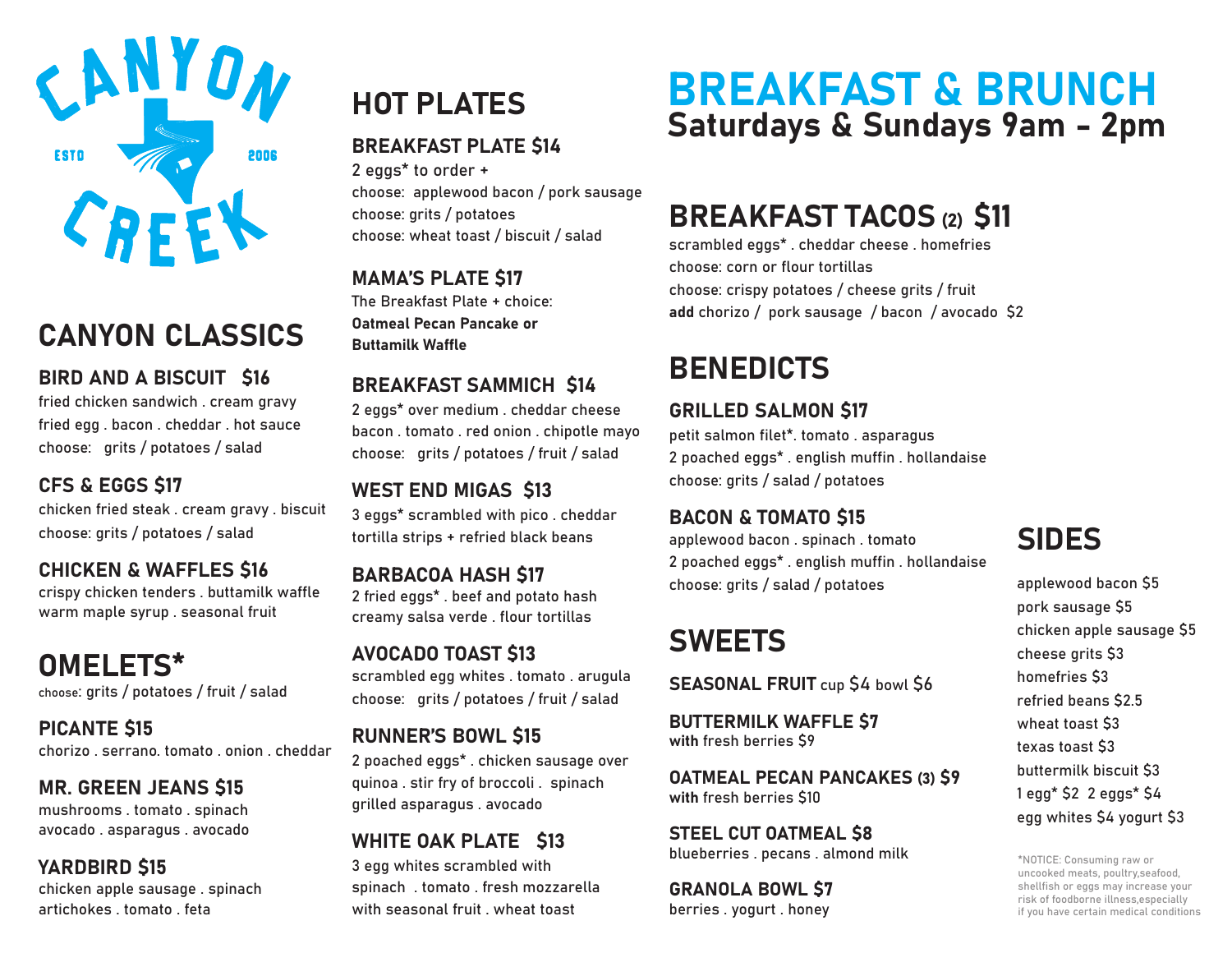

## CANYON CLASSICS

BIRD AND A BISCUIT \$16

fried chicken sandwich . cream gravy fried egg . bacon . cheddar . hot sauce choose: grits / potatoes / salad

### CFS & EGGS �17

chicken fried steak . cream gravy . biscuit choose: grits / potatoes / salad

CHICKEN & WAFFLES �16 crispy chicken tenders . buttamilk waffle warm maple syrup . seasonal fruit

OMELETS\* choose: grits / potatoes / fruit / salad

**PICANTE \$15** chorizo . serrano. tomato . onion . cheddar

### MR. GREEN JEANS \$15

mushrooms . tomato . spinach avocado . asparagus . avocado

### **YARDBIRD \$15**

chicken apple sausage . spinach artichokes . tomato . feta

#### BREAKFAST PLATE \$14

2 eggs\* to order + choose: applewood bacon / pork sausage choose: grits / potatoes choose: wheat toast / biscuit / salad

**MAMA'S PLATE \$17** 

The Breakfast Plate + choice: Oatmeal Pecan Pancake or Buttamilk Waffle

#### BREAKFAST SAMMICH \$14

2 eggs\* over medium . cheddar cheese bacon . tomato . red onion . chipotle mayo choose: grits / potatoes / fruit / salad

### WEST END MIGAS \$13

3 eggs\* scrambled with pico . cheddar tortilla strips + refried black beans

**BARBACOA HASH \$17** 2 fried eggs\* . beef and potato hash creamy salsa verde . flour tortillas

### AVOCADO TOAST \$13

scrambled egg whites . tomato . arugula choose: grits / potatoes / fruit / salad

#### **RUNNER'S BOWL \$15**

2 poached eggs\* . chicken sausage over quinoa . stir fry of broccoli . spinach grilled asparagus . avocado

#### WHITE OAK PLATE \$13

3 egg whites scrambled with spinach . tomato . fresh mozzarella with seasonal fruit . wheat toast

## BREAKFAST & BRUNCH HOT PLATES BREAKFAST & DRUNGER<br>Saturdays & Sundays 9am - 2pm

### BREAKFAST TACOS (2) S11

scrambled eggs\* . cheddar cheese . homefries choose: corn or flour tortillas choose: crispy potatoes / cheese grits / fruit add chorizo / pork sausage / bacon / avocado \$2

### **BENEDICTS**

#### **GRILLED SALMON \$17**

petit salmon filet\*. tomato . asparagus 2 poached eggs\* . english muffin . hollandaise choose: grits / salad / potatoes

#### BACON & TOMATO \$15

applewood bacon . spinach . tomato 2 poached eggs\* . english muffin . hollandaise choose: grits / salad / potatoes

### SWEETS

SEASONAL FRUIT cup \$4 bowl \$6

BUTTERMILK WAFFLE �7 with fresh berries \$9

**OATMEAL PECAN PANCAKES (3) \$9** with fresh berries \$10

STEEL CUT OATMEAL \$8 blueberries . pecans . almond milk

**GRANOLA BOWL \$7** berries . yogurt . honey

### SIDES

applewood bacon \$5 pork sausage \$5 chicken apple sausage \$5 cheese grits �3 homefries \$3 refried beans �2.5 wheat toast \$3 texas toast \$3 buttermilk biscuit \$3  $1$  egg<sup>\*</sup>  $$2$  2 eggs<sup>\*</sup>  $$4$ egg whites \$4 yogurt \$3

\*NOTICE: Consuming raw or uncooked meats, poultry,seafood, shellfish or eggs may increase your risk of foodborne illness,especially if you have certain medical conditions